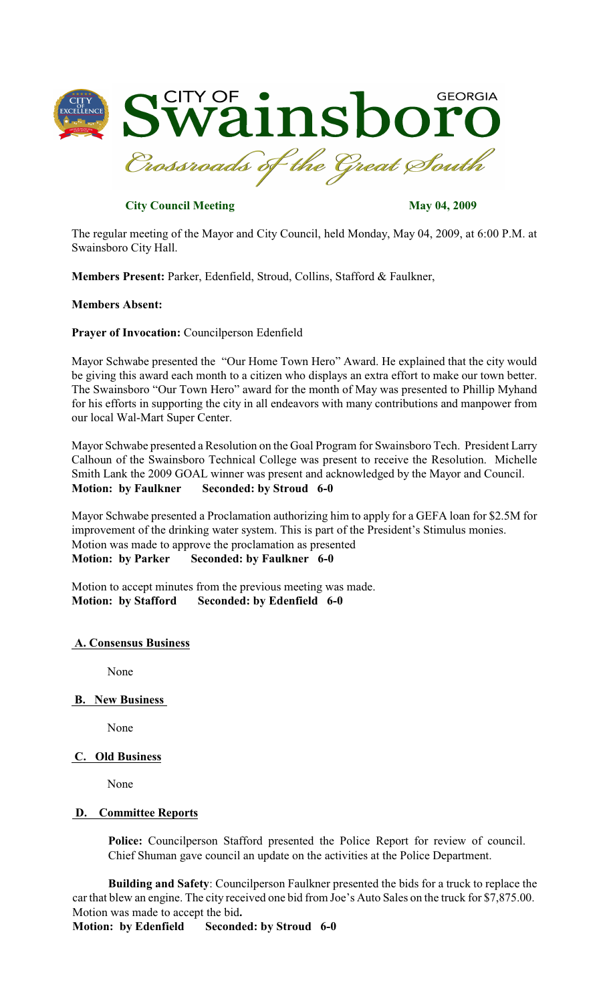

# **City Council Meeting May 04, 2009**

The regular meeting of the Mayor and City Council, held Monday, May 04, 2009, at 6:00 P.M. at Swainsboro City Hall.

**Members Present:** Parker, Edenfield, Stroud, Collins, Stafford & Faulkner,

#### **Members Absent:**

**Prayer of Invocation:** Councilperson Edenfield

Mayor Schwabe presented the "Our Home Town Hero" Award. He explained that the city would be giving this award each month to a citizen who displays an extra effort to make our town better. The Swainsboro "Our Town Hero" award for the month of May was presented to Phillip Myhand for his efforts in supporting the city in all endeavors with many contributions and manpower from our local Wal-Mart Super Center.

Mayor Schwabe presented a Resolution on the Goal Program for Swainsboro Tech. President Larry Calhoun of the Swainsboro Technical College was present to receive the Resolution. Michelle Smith Lank the 2009 GOAL winner was present and acknowledged by the Mayor and Council. **Motion: by Faulkner Seconded: by Stroud 6-0**

Mayor Schwabe presented a Proclamation authorizing him to apply for a GEFA loan for \$2.5M for improvement of the drinking water system. This is part of the President's Stimulus monies. Motion was made to approve the proclamation as presented **Motion: by Parker Seconded: by Faulkner 6-0**

Motion to accept minutes from the previous meeting was made. **Motion: by Stafford Seconded: by Edenfield 6-0**

#### **A. Consensus Business**

None

**B. New Business**

None

## **C. Old Business**

None

### **D. Committee Reports**

**Police:** Councilperson Stafford presented the Police Report for review of council. Chief Shuman gave council an update on the activities at the Police Department.

**Building and Safety**: Councilperson Faulkner presented the bids for a truck to replace the car that blew an engine. The city received one bid from Joe's Auto Sales on the truck for \$7,875.00. Motion was made to accept the bid**.**

**Motion: by Edenfield Seconded: by Stroud 6-0**